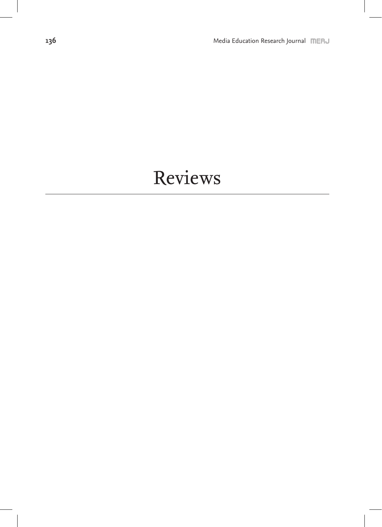## Reviews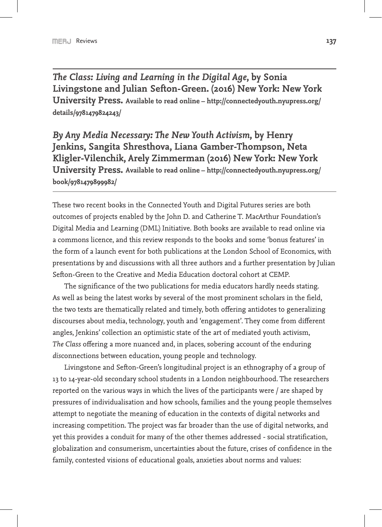*The Class: Living and Learning in the Digital Age***, by Sonia Livingstone and Julian Sefton-Green. (2016) New York: New York University Press. Available to read online – http://connectedyouth.nyupress.org/ details/9781479824243/**

*By Any Media Necessary: The New Youth Activism***, by Henry Jenkins, Sangita Shresthova, Liana Gamber-Thompson, Neta Kligler-Vilenchik, Arely Zimmerman (2016) New York: New York University Press. Available to read online – http://connectedyouth.nyupress.org/ book/9781479899982/**

These two recent books in the Connected Youth and Digital Futures series are both outcomes of projects enabled by the John D. and Catherine T. MacArthur Foundation's Digital Media and Learning (DML) Initiative. Both books are available to read online via a commons licence, and this review responds to the books and some 'bonus features' in the form of a launch event for both publications at the London School of Economics, with presentations by and discussions with all three authors and a further presentation by Julian Sefton-Green to the Creative and Media Education doctoral cohort at CEMP.

The significance of the two publications for media educators hardly needs stating. As well as being the latest works by several of the most prominent scholars in the field, the two texts are thematically related and timely, both offering antidotes to generalizing discourses about media, technology, youth and 'engagement'. They come from different angles, Jenkins' collection an optimistic state of the art of mediated youth activism, *The Class* offering a more nuanced and, in places, sobering account of the enduring *dis*connections between education, young people and technology.

Livingstone and Sefton-Green's longitudinal project is an ethnography of a group of 13 to 14-year-old secondary school students in a London neighbourhood. The researchers reported on the various ways in which the lives of the participants were / are shaped by pressures of individualisation and how schools, families and the young people themselves attempt to negotiate the meaning of education in the contexts of digital networks and increasing competition. The project was far broader than the use of digital networks, and yet this provides a conduit for many of the other themes addressed - social stratification, globalization and consumerism, uncertainties about the future, crises of confidence in the family, contested visions of educational goals, anxieties about norms and values: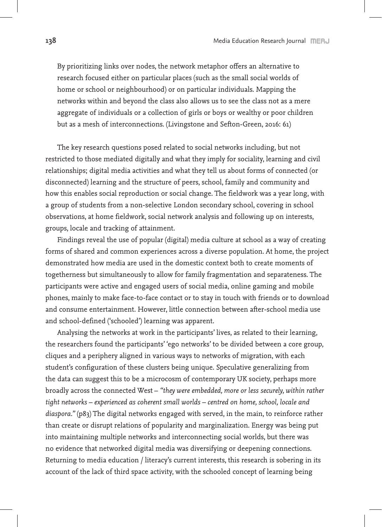By prioritizing links over nodes, the network metaphor offers an alternative to research focused either on particular places (such as the small social worlds of home or school or neighbourhood) or on particular individuals. Mapping the networks within and beyond the class also allows us to see the class not as a mere aggregate of individuals or a collection of girls or boys or wealthy or poor children but as a mesh of interconnections. (Livingstone and Sefton-Green, 2016: 61)

The key research questions posed related to social networks including, but not restricted to those mediated digitally and what they imply for sociality, learning and civil relationships; digital media activities and what they tell us about forms of connected (or disconnected) learning and the structure of peers, school, family and community and how this enables social reproduction or social change. The fieldwork was a year long, with a group of students from a non-selective London secondary school, covering in school observations, at home fieldwork, social network analysis and following up on interests, groups, locale and tracking of attainment.

Findings reveal the use of popular (digital) media culture at school as a way of creating forms of shared and common experiences across a diverse population. At home, the project demonstrated how media are used in the domestic context both to create moments of togetherness but simultaneously to allow for family fragmentation and separateness. The participants were active and engaged users of social media, online gaming and mobile phones, mainly to make face-to-face contact or to stay in touch with friends or to download and consume entertainment. However, little connection between after-school media use and school-defined ('schooled') learning was apparent.

Analysing the networks at work in the participants' lives, as related to their learning, the researchers found the participants' 'ego networks' to be divided between a core group, cliques and a periphery aligned in various ways to networks of migration, with each student's configuration of these clusters being unique. Speculative generalizing from the data can suggest this to be a microcosm of contemporary UK society, perhaps more broadly across the connected West – *"they were embedded, more or less securely, within rather tight networks – experienced as coherent small worlds – centred on home, school, locale and diaspora."* (p83) The digital networks engaged with served, in the main, to reinforce rather than create or disrupt relations of popularity and marginalization. Energy was being put into maintaining multiple networks and interconnecting social worlds, but there was no evidence that networked digital media was diversifying or deepening connections. Returning to media education / literacy's current interests, this research is sobering in its account of the lack of third space activity, with the schooled concept of learning being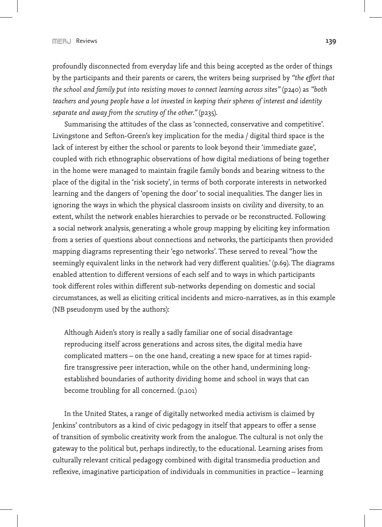profoundly disconnected from everyday life and this being accepted as the order of things by the participants and their parents or carers, the writers being surprised by *"the effort that the school and family put into resisting moves to connect learning across sites"* (p240) as *"both teachers and young people have a lot invested in keeping their spheres of interest and identity separate and away from the scrutiny of the other."* (p235).

Summarising the attitudes of the class as 'connected, conservative and competitive'. Livingstone and Sefton-Green's key implication for the media / digital third space is the lack of interest by either the school or parents to look beyond their 'immediate gaze', coupled with rich ethnographic observations of how digital mediations of being together in the home were managed to maintain fragile family bonds and bearing witness to the place of the digital in the 'risk society', in terms of both corporate interests in networked learning and the dangers of 'opening the door' to social inequalities. The danger lies in ignoring the ways in which the physical classroom insists on civility and diversity, to an extent, whilst the network enables hierarchies to pervade or be reconstructed. Following a social network analysis, generating a whole group mapping by eliciting key information from a series of questions about connections and networks, the participants then provided mapping diagrams representing their 'ego networks'. These served to reveal "how the seemingly equivalent links in the network had very different qualities.' (p.69). The diagrams enabled attention to different versions of each self and to ways in which participants took different roles within different sub-networks depending on domestic and social circumstances, as well as eliciting critical incidents and micro-narratives, as in this example (NB pseudonym used by the authors):

Although Aiden's story is really a sadly familiar one of social disadvantage reproducing itself across generations and across sites, the digital media have complicated matters – on the one hand, creating a new space for at times rapidfire transgressive peer interaction, while on the other hand, undermining longestablished boundaries of authority dividing home and school in ways that can become troubling for all concerned. (p.101)

In the United States, a range of digitally networked media activism is claimed by Jenkins' contributors as a kind of civic pedagogy in itself that appears to offer a sense of transition of symbolic creativity work from the analogue. The cultural is not only the gateway to the political but, perhaps indirectly, to the educational. Learning arises from culturally relevant critical pedagogy combined with digital transmedia production and reflexive, imaginative participation of individuals in communities in practice – learning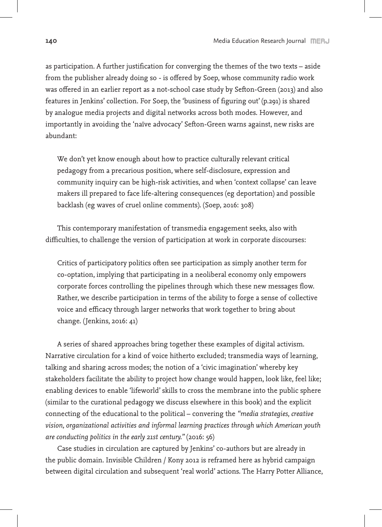as participation. A further justification for converging the themes of the two texts – aside from the publisher already doing so - is offered by Soep, whose community radio work was offered in an earlier report as a not-school case study by Sefton-Green (2013) and also features in Jenkins' collection. For Soep, the 'business of figuring out' (p.291) is shared by analogue media projects and digital networks across both modes. However, and importantly in avoiding the 'naïve advocacy' Sefton-Green warns against, new risks are abundant:

We don't yet know enough about how to practice culturally relevant critical pedagogy from a precarious position, where self-disclosure, expression and community inquiry can be high-risk activities, and when 'context collapse' can leave makers ill prepared to face life-altering consequences (eg deportation) and possible backlash (eg waves of cruel online comments). (Soep, 2016: 308)

This contemporary manifestation of transmedia engagement seeks, also with difficulties, to challenge the version of participation at work in corporate discourses:

Critics of participatory politics often see participation as simply another term for co-optation, implying that participating in a neoliberal economy only empowers corporate forces controlling the pipelines through which these new messages flow. Rather, we describe participation in terms of the ability to forge a sense of collective voice and efficacy through larger networks that work together to bring about change. (Jenkins, 2016: 41)

A series of shared approaches bring together these examples of digital activism. Narrative circulation for a kind of voice hitherto excluded; transmedia ways of learning, talking and sharing across modes; the notion of a 'civic imagination' whereby key stakeholders facilitate the ability to project how change would happen, look like, feel like; enabling devices to enable 'lifeworld' skills to cross the membrane into the public sphere (similar to the curational pedagogy we discuss elsewhere in this book) and the explicit connecting of the educational to the political – convering the *"media strategies, creative vision, organizational activities and informal learning practices through which American youth are conducting politics in the early 21st century."* (2016: 56)

Case studies in circulation are captured by Jenkins' co-authors but are already in the public domain. Invisible Children / Kony 2012 is reframed here as hybrid campaign between digital circulation and subsequent 'real world' actions. The Harry Potter Alliance,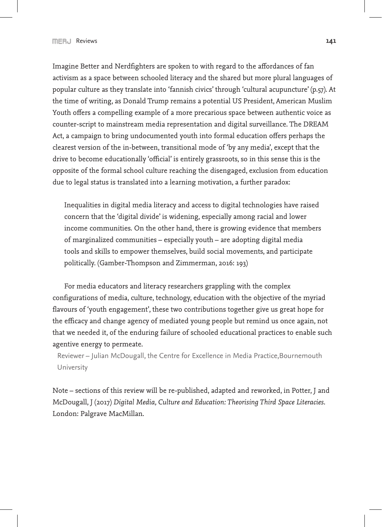Imagine Better and Nerdfighters are spoken to with regard to the affordances of fan activism as a space between schooled literacy and the shared but more plural languages of popular culture as they translate into 'fannish civics' through 'cultural acupuncture' (p.57). At the time of writing, as Donald Trump remains a potential US President, American Muslim Youth offers a compelling example of a more precarious space between authentic voice as counter-script to mainstream media representation and digital surveillance. The DREAM Act, a campaign to bring undocumented youth into formal education offers perhaps the clearest version of the in-between, transitional mode of 'by any media', except that the drive to become educationally 'official' is entirely grassroots, so in this sense this is the opposite of the formal school culture reaching the disengaged, exclusion from education due to legal status is translated into a learning motivation, a further paradox:

Inequalities in digital media literacy and access to digital technologies have raised concern that the 'digital divide' is widening, especially among racial and lower income communities. On the other hand, there is growing evidence that members of marginalized communities – especially youth – are adopting digital media tools and skills to empower themselves, build social movements, and participate politically. (Gamber-Thompson and Zimmerman, 2016: 193)

For media educators and literacy researchers grappling with the complex configurations of media, culture, technology, education with the objective of the myriad flavours of 'youth engagement', these two contributions together give us great hope for the efficacy and change agency of mediated young people but remind us once again, not that we needed it, of the enduring failure of schooled educational practices to enable such agentive energy to permeate.

Reviewer – Julian McDougall, the Centre for Excellence in Media Practice,Bournemouth University

Note – sections of this review will be re-published, adapted and reworked, in Potter, J and McDougall, J (2017) *Digital Media, Culture and Education: Theorising Third Space Literacies*. London: Palgrave MacMillan.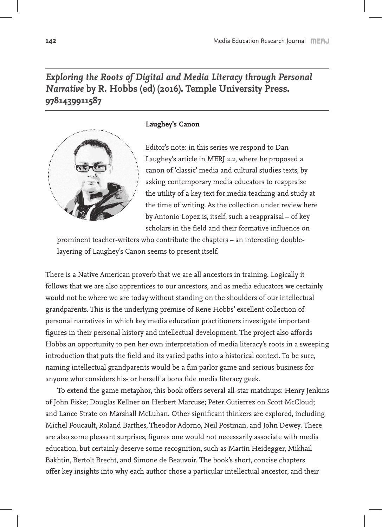## *Exploring the Roots of Digital and Media Literacy through Personal Narrative* **by R. Hobbs (ed) (2016). Temple University Press. 9781439911587**



## **Laughey's Canon**

Editor's note: in this series we respond to Dan Laughey's article in MERJ 2.2, where he proposed a canon of 'classic' media and cultural studies texts, by asking contemporary media educators to reappraise the utility of a key text for media teaching and study at the time of writing. As the collection under review here by Antonio Lopez is, itself, such a reappraisal – of key scholars in the field and their formative influence on

prominent teacher-writers who contribute the chapters – an interesting doublelayering of Laughey's Canon seems to present itself.

There is a Native American proverb that we are all ancestors in training. Logically it follows that we are also apprentices to our ancestors, and as media educators we certainly would not be where we are today without standing on the shoulders of our intellectual grandparents. This is the underlying premise of Rene Hobbs' excellent collection of personal narratives in which key media education practitioners investigate important figures in their personal history and intellectual development. The project also affords Hobbs an opportunity to pen her own interpretation of media literacy's roots in a sweeping introduction that puts the field and its varied paths into a historical context. To be sure, naming intellectual grandparents would be a fun parlor game and serious business for anyone who considers his- or herself a bona fide media literacy geek.

To extend the game metaphor, this book offers several all-star matchups: Henry Jenkins of John Fiske; Douglas Kellner on Herbert Marcuse; Peter Gutierrez on Scott McCloud; and Lance Strate on Marshall McLuhan. Other significant thinkers are explored, including Michel Foucault, Roland Barthes, Theodor Adorno, Neil Postman, and John Dewey. There are also some pleasant surprises, figures one would not necessarily associate with media education, but certainly deserve some recognition, such as Martin Heidegger, Mikhail Bakhtin, Bertolt Brecht, and Simone de Beauvoir. The book's short, concise chapters offer key insights into why each author chose a particular intellectual ancestor, and their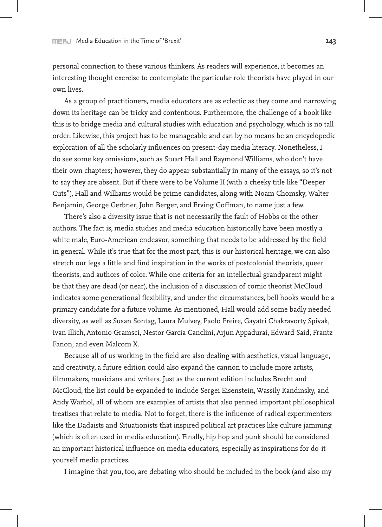personal connection to these various thinkers. As readers will experience, it becomes an interesting thought exercise to contemplate the particular role theorists have played in our own lives.

As a group of practitioners, media educators are as eclectic as they come and narrowing down its heritage can be tricky and contentious. Furthermore, the challenge of a book like this is to bridge media and cultural studies with education and psychology, which is no tall order. Likewise, this project has to be manageable and can by no means be an encyclopedic exploration of all the scholarly influences on present-day media literacy. Nonetheless, I do see some key omissions, such as Stuart Hall and Raymond Williams, who don't have their own chapters; however, they do appear substantially in many of the essays, so it's not to say they are absent. But if there were to be Volume II (with a cheeky title like "Deeper Cuts"), Hall and Williams would be prime candidates, along with Noam Chomsky, Walter Benjamin, George Gerbner, John Berger, and Erving Goffman, to name just a few.

There's also a diversity issue that is not necessarily the fault of Hobbs or the other authors. The fact is, media studies and media education historically have been mostly a white male, Euro-American endeavor, something that needs to be addressed by the field in general. While it's true that for the most part, this is our historical heritage, we can also stretch our legs a little and find inspiration in the works of postcolonial theorists, queer theorists, and authors of color. While one criteria for an intellectual grandparent might be that they are dead (or near), the inclusion of a discussion of comic theorist McCloud indicates some generational flexibility, and under the circumstances, bell hooks would be a primary candidate for a future volume. As mentioned, Hall would add some badly needed diversity, as well as Susan Sontag, Laura Mulvey, Paolo Freire, Gayatri Chakravorty Spivak, Ivan Illich, Antonio Gramsci, Nestor Garcia Canclini, Arjun Appadurai, Edward Said, Frantz Fanon, and even Malcom X.

Because all of us working in the field are also dealing with aesthetics, visual language, and creativity, a future edition could also expand the cannon to include more artists, filmmakers, musicians and writers. Just as the current edition includes Brecht and McCloud, the list could be expanded to include Sergei Eisenstein, Wassily Kandinsky, and Andy Warhol, all of whom are examples of artists that also penned important philosophical treatises that relate to media. Not to forget, there is the influence of radical experimenters like the Dadaists and Situationists that inspired political art practices like culture jamming (which is often used in media education). Finally, hip hop and punk should be considered an important historical influence on media educators, especially as inspirations for do-ityourself media practices.

I imagine that you, too, are debating who should be included in the book (and also my